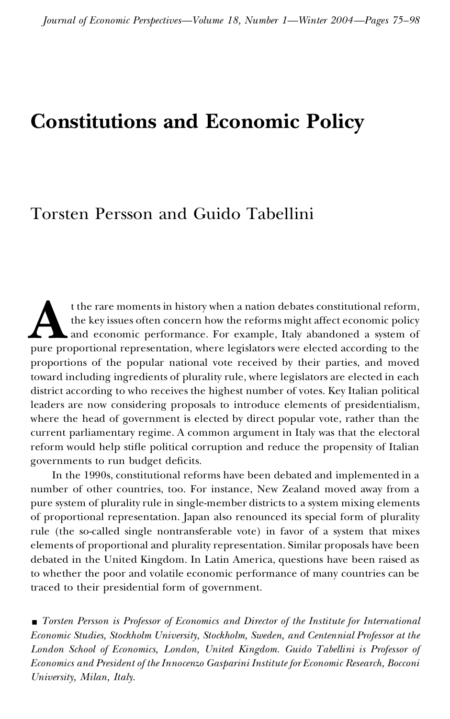# **Constitutions and Economic Policy**

## Torsten Persson and Guido Tabellini

t the rare moments in history when a nation debates constitutional reform,<br>the key issues often concern how the reforms might affect economic policy<br>and economic performance. For example, Italy abandoned a system of<br>pure p t the rare moments in history when a nation debates constitutional reform, the key issues often concern how the reforms might affect economic policy and economic performance. For example, Italy abandoned a system of proportions of the popular national vote received by their parties, and moved toward including ingredients of plurality rule, where legislators are elected in each district according to who receives the highest number of votes. Key Italian political leaders are now considering proposals to introduce elements of presidentialism, where the head of government is elected by direct popular vote, rather than the current parliamentary regime. A common argument in Italy was that the electoral reform would help stifle political corruption and reduce the propensity of Italian governments to run budget deficits.

In the 1990s, constitutional reforms have been debated and implemented in a number of other countries, too. For instance, New Zealand moved away from a pure system of plurality rule in single-member districts to a system mixing elements of proportional representation. Japan also renounced its special form of plurality rule (the so-called single nontransferable vote) in favor of a system that mixes elements of proportional and plurality representation. Similar proposals have been debated in the United Kingdom. In Latin America, questions have been raised as to whether the poor and volatile economic performance of many countries can be traced to their presidential form of government.

y *Torsten Persson is Professor of Economics and Director of the Institute for International Economic Studies, Stockholm University, Stockholm, Sweden, and Centennial Professor at the London School of Economics, London, United Kingdom. Guido Tabellini is Professor of Economics and President of the Innocenzo Gasparini Institute for Economic Research, Bocconi University, Milan, Italy.*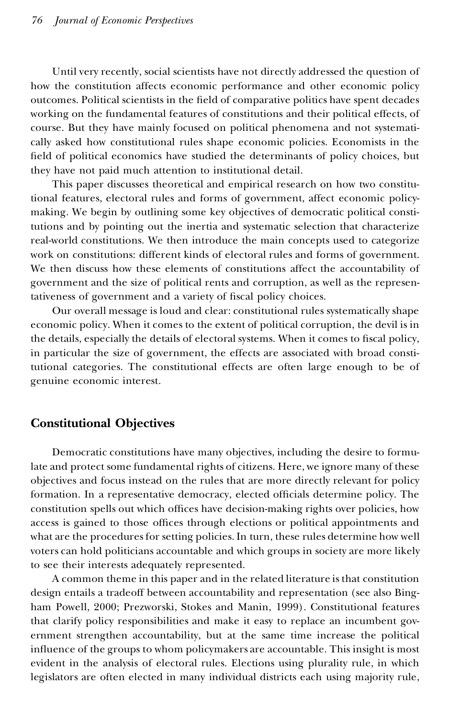Until very recently, social scientists have not directly addressed the question of how the constitution affects economic performance and other economic policy outcomes. Political scientists in the field of comparative politics have spent decades working on the fundamental features of constitutions and their political effects, of course. But they have mainly focused on political phenomena and not systematically asked how constitutional rules shape economic policies. Economists in the field of political economics have studied the determinants of policy choices, but they have not paid much attention to institutional detail.

This paper discusses theoretical and empirical research on how two constitutional features, electoral rules and forms of government, affect economic policymaking. We begin by outlining some key objectives of democratic political constitutions and by pointing out the inertia and systematic selection that characterize real-world constitutions. We then introduce the main concepts used to categorize work on constitutions: different kinds of electoral rules and forms of government. We then discuss how these elements of constitutions affect the accountability of government and the size of political rents and corruption, as well as the representativeness of government and a variety of fiscal policy choices.

Our overall message is loud and clear: constitutional rules systematically shape economic policy. When itcomes to the extent of political corruption, the devil is in the details, especially the details of electoral systems. When it comes to fiscal policy, in particular the size of government, the effects are associated with broad constitutional categories. The constitutional effects are often large enough to be of genuine economic interest.

## **Constitutional Objectives**

Democratic constitutions have many objectives, including the desire to formulate and protect some fundamental rights of citizens. Here, we ignore many of these objectives and focus instead on the rules that are more directly relevant for policy formation. In a representative democracy, elected officials determine policy. The constitution spells out which offices have decision-making rights over policies, how access is gained to those offices through elections or political appointments and what are the procedures for setting policies. In turn, these rules determine how well voters can hold politicians accountable and which groups in society are more likely to see their interests adequately represented.

A common theme in this paper and in the related literature is that constitution design entails a tradeoff between accountability and representation (see also Bingham Powell, 2000; Prezworski, Stokes and Manin, 1999). Constitutional features that clarify policy responsibilities and make it easy to replace an incumbent government strengthen accountability, but at the same time increase the political in fluence of the groups to whom policymakers are accountable. This insight is most evident in the analysis of electoral rules. Elections using plurality rule, in which legislators are often elected in many individual districts each using majority rule,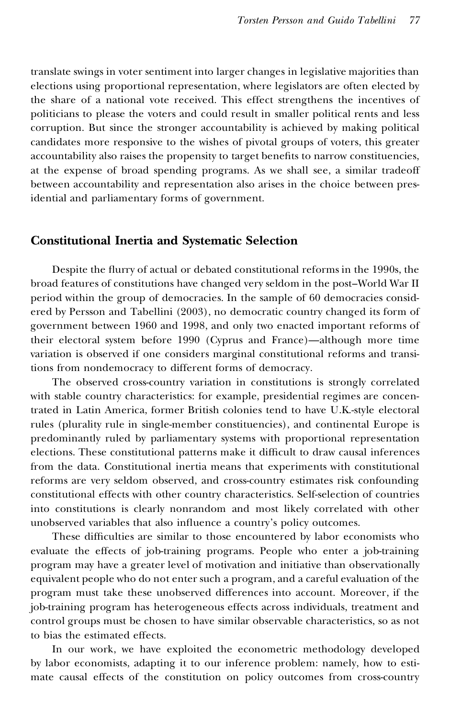translate swings in voter sentiment into larger changes in legislative majorities than elections using proportional representation, where legislators are often elected by the share of a national vote received. This effect strengthens the incentives of politicians to please the voters and could result in smaller political rents and less corruption. But since the stronger accountability is achieved by making political candidates more responsive to the wishes of pivotal groups of voters, this greater accountability also raises the propensity to target benefits to narrow constituencies, at the expense of broad spending programs. As we shall see, a similar tradeoff between accountability and representation also arises in the choice between presidential and parliamentary forms of government.

## **Constitutional Inertia and Systematic Selection**

Despite the flurry of actual or debated constitutional reforms in the 1990s, the broad features of constitutions have changed very seldom in the post–World War II period within the group of democracies. In the sample of 60 democracies considered by Persson and Tabellini (2003), no democratic country changed its form of government between 1960 and 1998, and only two enacted important reforms of their electoral system before 1990 (Cyprus and France)—although more time variation is observed if one considers marginal constitutional reforms and transitions from nondemocracy to different forms of democracy.

The observed cross-country variation in constitutions is strongly correlated with stable country characteristics: for example, presidential regimes are concentrated in Latin America, former British colonies tend to have U.K.-style electoral rules (plurality rule in single-member constituencies), and continental Europe is predominantly ruled by parliamentary systems with proportional representation elections. These constitutional patterns make it difficult to draw causal inferences from the data. Constitutional inertia means that experiments with constitutional reforms are very seldom observed, and cross-country estimates risk confounding constitutional effects with other country characteristics. Self-selection of countries into constitutions is clearly nonrandom and most likely correlated with other unobserved variables that also influence a country's policy outcomes.

These difficulties are similar to those encountered by labor economists who evaluate the effects of job-training programs. People who enter a job-training program may have a greater level of motivation and initiative than observationally equivalent people who do not enter such a program, and a careful evaluation of the program must take these unobserved differences into account. Moreover, if the job-training program has heterogeneous effects across individuals, treatment and control groups must be chosen to have similar observable characteristics, so as not to bias the estimated effects.

In our work, we have exploited the econometric methodology developed by labor economists, adapting it to our inference problem: namely, how to estimate causal effects of the constitution on policy outcomes from cross-country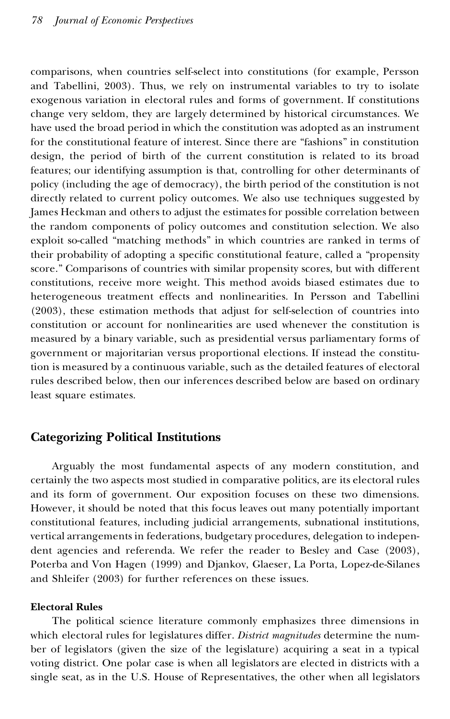comparisons, when countries self-select into constitutions (for example, Persson and Tabellini, 2003). Thus, we rely on instrumental variables to try to isolate exogenous variation in electoral rules and forms of government. If constitutions change very seldom, they are largely determined by historical circumstances. We have used the broad period in which the constitution was adopted as an instrument for the constitutional feature of interest. Since there are "fashions" in constitution design, the period of birth of the current constitution is related to its broad features; our identifying assumption is that, controlling for other determinants of policy (including the age of democracy), the birth period of the constitution is not directly related to current policy outcomes. We also use techniques suggested by James Heckman and others to adjust the estimates for possible correlation between the random components of policy outcomes and constitution selection. We also exploit so-called "matching methods" in which countries are ranked in terms of their probability of adopting a specific constitutional feature, called a "propensity score." Comparisons of countries with similar propensity scores, but with different constitutions, receive more weight. This method avoids biased estimates due to heterogeneous treatment effects and nonlinearities. In Persson and Tabellini (2003), these estimation methods that adjust for self-selection of countries into constitution or account for nonlinearities are used whenever the constitution is measured by a binary variable, such as presidential versus parliamentary forms of government or majoritarian versus proportional elections. If instead the constitution is measured by a continuous variable, such as the detailed features of electoral rules described below, then our inferences described below are based on ordinary least square estimates.

## **Categorizing Political Institutions**

Arguably the most fundamental aspects of any modern constitution, and certainly the two aspects most studied in comparative politics, are its electoral rules and its form of government. Our exposition focuses on these two dimensions. However, it should be noted that this focus leaves out many potentially important constitutional features, including judicial arrangements, subnational institutions, vertical arrangements in federations, budgetary procedures, delegation to independent agencies and referenda. We refer the reader to Besley and Case (2003), Poterba and Von Hagen (1999) and Djankov, Glaeser, La Porta, Lopez-de-Silanes and Shleifer (2003) for further references on these issues.

#### **Electoral Rules**

The political science literature commonly emphasizes three dimensions in which electoral rules for legislatures differ. *District magnitudes* determine the num ber of legislators (given the size of the legislature) acquiring a seat in a typical voting district. One polar case is when all legislators are elected in districts with a single seat, as in the U.S. House of Representatives, the other when all legislators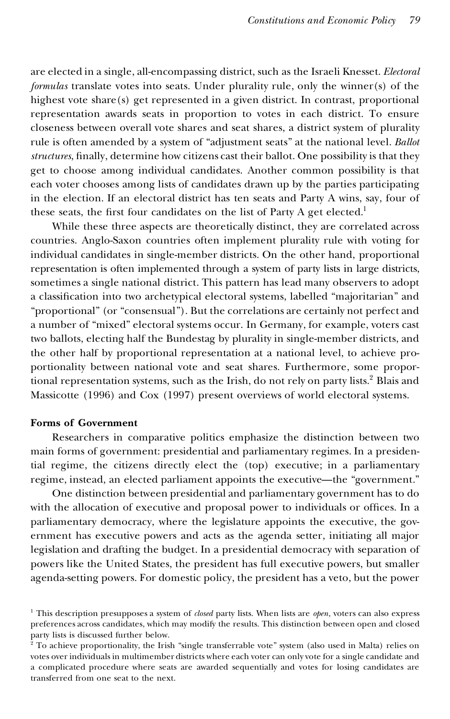are elected in a single, all-encompassing district, such as the Israeli Knesset. *Electoral formulas* translate votes into seats. Under plurality rule, only the winner(s) of the highest vote share(s) get represented in a given district. In contrast, proportional representation awards seats in proportion to votes in each district. To ensure closeness between overall vote shares and seat shares, a district system of plurality rule is often amended by a system of "adjustment seats" at the national level. *Ballot structures*, finally, determine how citizens cast their ballot. One possibility is that they get to choose among individual candidates. Another common possibility is that each voter chooses among lists of candidates drawn up by the parties participating in the election. If an electoral district has ten seats and Party A wins, say, four of these seats, the first four candidates on the list of Party A get elected.<sup>1</sup>

While these three aspects are theoretically distinct, they are correlated across countries. Anglo-Saxon countries often implement plurality rule with voting for individual candidates in single-member districts. On the other hand, proportional representation is often implemented through a system of party lists in large districts, sometimes a single national district. This pattern has lead many observers to adopt a classification into two archetypical electoral systems, labelled "majoritarian" and "proportional" (or "consensual"). But the correlations are certainly not perfect and a number of "mixed" electoral systems occur. In Germany, for example, voters cast two ballots, electing half the Bundestag by plurality in single-member districts, and the other half by proportional representation at a national level, to achieve proportionality between national vote and seat shares. Furthermore, some proportional representation systems, such as the Irish, do not rely on party lists.<sup>2</sup> Blais and Massicotte (1996) and Cox (1997) present overviews of world electoral systems.

#### **Forms of Government**

Researchers in comparative politics emphasize the distinction between two main forms of government: presidential and parliamentary regimes. In a presidential regime, the citizens directly elect the (top) executive; in a parliamentary regime, instead, an elected parliament appoints the executive—the "government."

One distinction between presidential and parliamentary government has to do with the allocation of executive and proposal power to individuals or offices. In a parliamentary democracy, where the legislature appoints the executive, the government has executive powers and acts as the agenda setter, initiating all major legislation and drafting the budget. In a presidential democracy with separation of powers like the United States, the president has full executive powers, but smaller agenda-setting powers. For domestic policy, the president has a veto, but the power

<sup>1</sup> This description presupposes a system of *closed* party lists. When lists are *open,* voters can also express preferences across candidates, which may modify the results. This distinction between open and closed party lists is discussed further below.

 $^2$  To achieve proportionality, the Irish "single transferrable vote" system (also used in Malta) relies on votes over individuals in multimember districts where each voter can only vote for a single candidate and a complicated procedure where seats are awarded sequentially and votes for losing candidates are transferred from one seat to the next.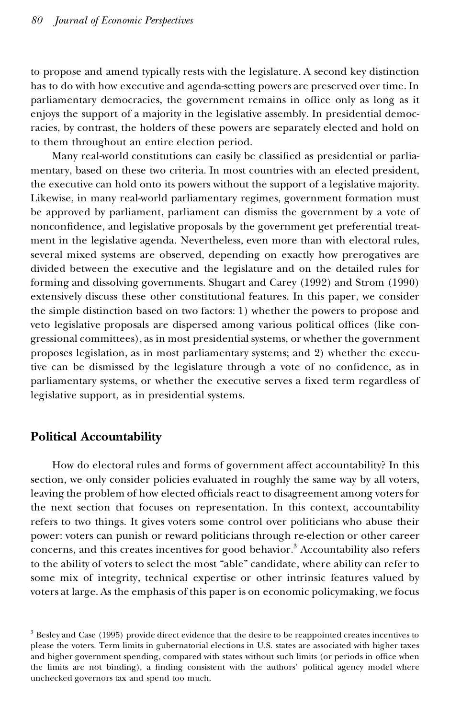to propose and amend typically rests with the legislature. A second key distinction has to do with how executive and agenda-setting powers are preserved over time. In parliamentary democracies, the government remains in office only as long as it enjoys the support of a majority in the legislative assembly. In presidential democracies, by contrast, the holders of these powers are separately elected and hold on to them throughout an entire election period.

Many real-world constitutions can easily be classified as presidential or parliamentary, based on these two criteria. In most countries with an elected president, the executive can hold onto its powers without the support of a legislative majority. Likewise, in many real-world parliamentary regimes, government formation must be approved by parliament, parliament can dismiss the government by a vote of nonconfidence, and legislative proposals by the government get preferential treatment in the legislative agenda. Nevertheless, even more than with electoral rules, several mixed systems are observed, depending on exactly how prerogatives are divided between the executive and the legislature and on the detailed rules for forming and dissolving governments. Shugart and Carey (1992) and Strom (1990) extensively discuss these other constitutional features. In this paper, we consider the simple distinction based on two factors: 1) whether the powers to propose and veto legislative proposals are dispersed among various political offices (like congressional committees), as in most presidential systems, or whether the government proposes legislation, as in most parliamentary systems; and 2) whether the executive can be dismissed by the legislature through a vote of no confidence, as in parliamentary systems, or whether the executive serves a fixed term regardless of legislative support, as in presidential systems.

## **Political Accountability**

How do electoral rules and forms of government affect accountability? In this section, we only consider policies evaluated in roughly the same way by all voters, leaving the problem of how elected officials react to disagreement among voters for the next section that focuses on representation. In this context, accountability refers to two things. It gives voters some control over politicians who abuse their power: voters can punish or reward politicians through re-election or other career concerns, and this creates incentives for good behavior.<sup>3</sup> Accountability also refers to the ability of voters to select the most "able" candidate, where ability can refer to some mix of integrity, technical expertise or other intrinsic features valued by voters at large. As the emphasis of this paper is on economic policymaking, we focus

<sup>3</sup> Besley and Case (1995) provide direct evidence that the desire to be reappointed creates incentives to please the voters. Term limits in gubernatorial elections in U.S. states are associated with higher taxes and higher government spending, compared with states without such limits (or periods in office when the limits are not binding), a finding consistent with the authors' political agency model where unchecked governors tax and spend too much.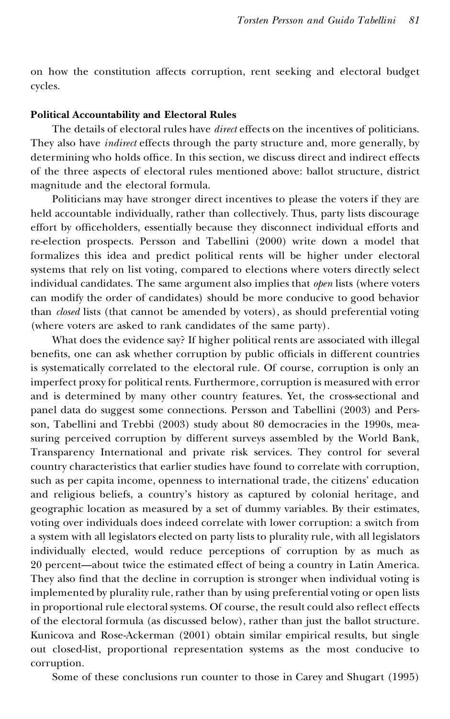on how the constitution affects corruption, rent seeking and electoral budget cycles.

#### **Political Accountability and Electoral Rules**

The details of electoral rules have *direct* effects on the incentives of politicians. They also have *indirect* effects through the party structure and, more generally, by determining who holds office. In this section, we discuss direct and indirect effects of the three aspects of electoral rules mentioned above: ballot structure, district magnitude and the electoral formula.

Politicians may have stronger direct incentives to please the voters if they are held accountable individually, rather than collectively. Thus, party lists discourage effort by officeholders, essentially because they disconnect individual efforts and re-election prospects. Persson and Tabellini (2000) write down a model that formalizes this idea and predict political rents will be higher under electoral systems that rely on list voting, compared to elections where voters directly select individual candidates. The same argument also implies that *open* lists (where voters can modify the order of candidates) should be more conducive to good behavior than *closed* lists (that cannot be amended by voters), as should preferential voting (where voters are asked to rank candidates of the same party).

What does the evidence say? If higher political rents are associated with illegal benefits, one can ask whether corruption by public officials in different countries is systematically correlated to the electoral rule. Of course, corruption is only an imperfect proxy for political rents. Furthermore, corruption is measured with error and is determined by many other country features. Yet, the cross-sectional and panel data do suggest some connections. Persson and Tabellini (2003) and Persson, Tabellini and Trebbi (2003) study about 80 democracies in the 1990s, measuring perceived corruption by different surveys assembled by the World Bank, Transparency International and private risk services. They control for several country characteristics that earlier studies have found to correlate with corruption, such as per capita income, openness to international trade, the citizens' education and religious beliefs, a country's history as captured by colonial heritage, and geographic location as measured by a set of dummy variables. By their estimates, voting over individuals does indeed correlate with lower corruption: a switch from a system with all legislators elected on party lists to plurality rule, with all legislators individually elected, would reduce perceptions of corruption by as much as 20 percent—about twice the estimated effect of being a country in Latin America. They also find that the decline in corruption is stronger when individual voting is implemented by plurality rule, rather than by using preferential voting or open lists in proportional rule electoral systems. Of course, the result could also reflect effects of the electoral formula (as discussed below), rather than just the ballot structure. Kunicova and Rose-Ackerman (2001) obtain similar empirical results, but single out closed-list, proportional representation systems as the most conducive to corruption.

Some of these conclusions run counter to those in Carey and Shugart (1995)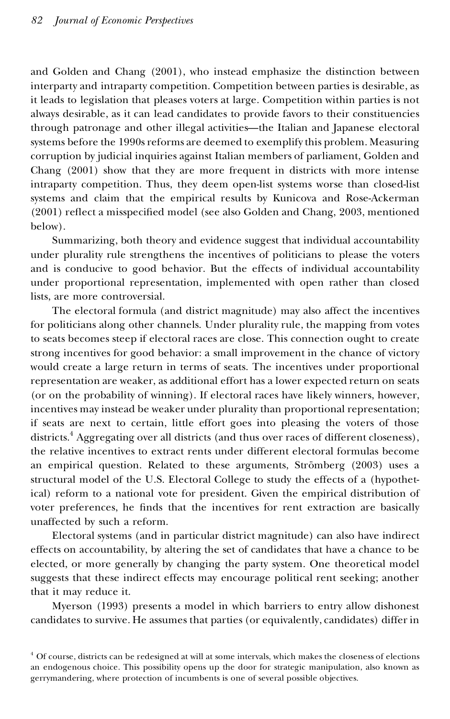and Golden and Chang (2001), who instead emphasize the distinction between interparty and intraparty competition. Competition between parties is desirable, as it leads to legislation that pleases voters at large. Competition within parties is not always desirable, as it can lead candidates to provide favors to their constituencies through patronage and other illegal activities—the Italian and Japanese electoral systems before the 1990s reforms are deemed to exemplify this problem. Measuring corruption by judicial inquiries against Italian members of parliament, Golden and Chang (2001) show that they are more frequent in districts with more intense intraparty competition. Thus, they deem open-list systems worse than closed-list systems and claim that the empirical results by Kunicova and Rose-Ackerman (2001) reflect a misspecified model (see also Golden and Chang, 2003, mentioned below).

Summarizing, both theory and evidence suggest that individual accountability under plurality rule strengthens the incentives of politicians to please the voters and is conducive to good behavior. But the effects of individual accountability under proportional representation, implemented with open rather than closed lists, are more controversial.

The electoral formula (and district magnitude) may also affect the incentives for politicians along other channels. Under plurality rule, the mapping from votes to seats becomes steep if electoral races are close. This connection ought to create strong incentives for good behavior: a small improvement in the chance of victory would create a large return in terms of seats. The incentives under proportional representation are weaker, as additional effort has a lower expected return on seats (or on the probability of winning). If electoral races have likely winners, however, incentives may instead be weaker under plurality than proportional representation; if seats are next to certain, little effort goes into pleasing the voters of those districts.<sup>4</sup> Aggregating over all districts (and thus over races of different closeness), the relative incentives to extract rents under different electoral formulas become an empirical question. Related to these arguments, Strömberg (2003) uses a structural model of the U.S. Electoral College to study the effects of a (hypothetical) reform to a national vote for president. Given the empirical distribution of voter preferences, he finds that the incentives for rent extraction are basically unaffected by such a reform.

Electoral systems (and in particular district magnitude) can also have indirect effects on accountability, by altering the set of candidates that have a chance to be elected, or more generally by changing the party system. One theoretical model suggests that these indirect effects may encourage political rent seeking; another that it may reduce it.

Myerson (1993) presents a model in which barriers to entry allow dishonest candidates to survive. He assumes that parties (or equivalently, candidates) differ in

<sup>4</sup> Of course, districts can be redesigned at will at some intervals, which makes the closeness of elections an endogenous choice. This possibility opens up the door for strategic manipulation, also known as gerrymandering, where protection of incumbents is one of several possible objectives.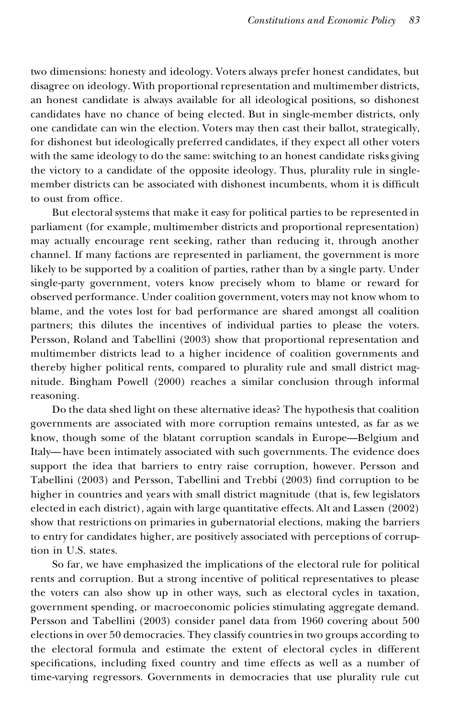two dimensions: honesty and ideology. Voters always prefer honest candidates, but disagree on ideology. With proportional representation and multimember districts, an honest candidate is always available for all ideological positions, so dishonest candidates have no chance of being elected. But in single-member districts, only one candidate can win the election. Voters may then cast their ballot, strategically, for dishonest but ideologically preferred candidates, if they expect all other voters with the same ideology to do the same: switching to an honest candidate risks giving the victory to a candidate of the opposite ideology. Thus, plurality rule in singlemember districts can be associated with dishonest incumbents, whom it is difficult to oust from office.

But electoral systems that make it easy for political parties to be represented in parliament (for example, multimember districts and proportional representation) may actually encourage rent seeking, rather than reducing it, through another channel. If many factions are represented in parliament, the government is more likely to be supported by a coalition of parties, rather than by a single party. Under single-party government, voters know precisely whom to blame or reward for observed performance. Under coalition government, voters may not know whom to blame, and the votes lost for bad performance are shared amongst all coalition partners; this dilutes the incentives of individual parties to please the voters. Persson, Roland and Tabellini (2003) show that proportional representation and multimember districts lead to a higher incidence of coalition governments and thereby higher political rents, compared to plurality rule and small district magnitude. Bingham Powell (2000) reaches a similar conclusion through informal reasoning.

Do the data shed light on these alternative ideas? The hypothesis that coalition governments are associated with more corruption remains untested, as far as we know, though some of the blatant corruption scandals in Europe—Belgium and Italy—have been intimately associated with such governments. The evidence does support the idea that barriers to entry raise corruption, however. Persson and Tabellini (2003) and Persson, Tabellini and Trebbi (2003) find corruption to be higher in countries and years with small district magnitude (that is, few legislators elected in each district), again with large quantitative effects. Alt and Lassen (2002) show that restrictions on primaries in gubernatorial elections, making the barriers to entry for candidates higher, are positively associated with perceptions of corruption in U.S. states.

So far, we have emphasized the implications of the electoral rule for political rents and corruption. But a strong incentive of political representatives to please the voters can also show up in other ways, such as electoral cycles in taxation, government spending, or macroeconomic policies stimulating aggregate demand. Persson and Tabellini (2003) consider panel data from 1960 covering about 500 elections in over 50 democracies. They classify countries in two groups according to the electoral formula and estimate the extent of electoral cycles in different specifications, including fixed country and time effects as well as a number of time-varying regressors. Governments in democracies that use plurality rule cut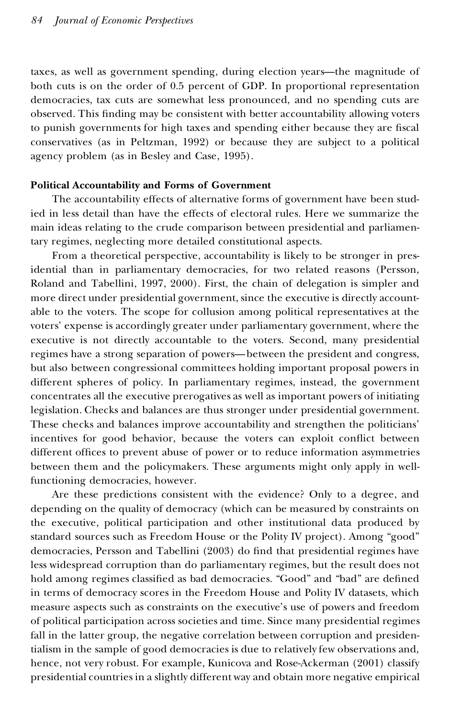taxes, as well as government spending, during election years—the magnitude of both cuts is on the order of 0.5 percent of GDP. In proportional representation democracies, tax cuts are somewhat less pronounced, and no spending cuts are observed. This finding may be consistent with better accountability allowing voters to punish governments for high taxes and spending either because they are fiscal conservatives (as in Peltzman, 1992) or because they are subject to a political agency problem (as in Besley and Case, 1995).

#### **Political Accountability and Forms of Government**

The accountability effects of alternative forms of government have been studied in less detail than have the effects of electoral rules. Here we summarize the main ideas relating to the crude comparison between presidential and parliamentary regimes, neglecting more detailed constitutional aspects.

From a theoretical perspective, accountability is likely to be stronger in presidential than in parliamentary democracies, for two related reasons (Persson, Roland and Tabellini, 1997, 2000). First, the chain of delegation is simpler and more direct under presidential government, since the executive is directly accountable to the voters. The scope for collusion among political representatives at the voters' expense is accordingly greater under parliamentary government, where the executive is not directly accountable to the voters. Second, many presidential regimes have a strong separation of powers—between the president and congress, but also between congressional committees holding important proposal powers in different spheres of policy. In parliamentary regimes, instead, the government concentrates all the executive prerogatives as well as important powers of initiating legislation. Checks and balances are thus stronger under presidential government. These checks and balances improve accountability and strengthen the politicians' incentives for good behavior, because the voters can exploit conflict between different offices to prevent abuse of power or to reduce information asymmetries between them and the policymakers. These arguments might only apply in wellfunctioning democracies, however.

Are these predictions consistent with the evidence? Only to a degree, and depending on the quality of democracy (which can be measured by constraints on the executive, political participation and other institutional data produced by standard sources such as Freedom House or the Polity IV project). Among "good" democracies, Persson and Tabellini (2003) do find that presidential regimes have less widespread corruption than do parliamentary regimes, but the result does not hold among regimes classified as bad democracies. "Good" and "bad" are defined in terms of democracy scores in the Freedom House and Polity IV datasets, which measure aspects such as constraints on the executive's use of powers and freedom of political participation across societies and time. Since many presidential regimes fall in the latter group, the negative correlation between corruption and presidentialism in the sample of good democracies is due to relatively few observations and, hence, not very robust. For example, Kunicova and Rose-Ackerman (2001) classify presidential countries in a slightly different way and obtain more negative empirical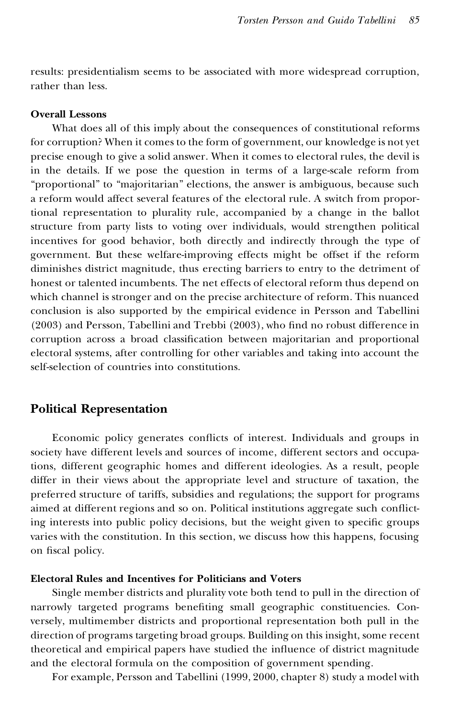results: presidentialism seems to be associated with more widespread corruption, rather than less.

#### **Overall Lessons**

What does all of this imply about the consequences of constitutional reforms for corruption? When it comes to the form of government, our knowledge is not yet precise enough to give a solid answer. When it comes to electoral rules, the devil is in the details. If we pose the question in terms of a large-scale reform from "proportional" to "majoritarian" elections, the answer is ambiguous, because such a reform would affect several features of the electoral rule. A switch from proportional representation to plurality rule, accompanied by a change in the ballot structure from party lists to voting over individuals, would strengthen political incentives for good behavior, both directly and indirectly through the type of government. But these welfare-improving effects might be offset if the reform diminishes district magnitude, thus erecting barriers to entry to the detriment of honest or talented incumbents. The net effects of electoral reform thus depend on which channel is stronger and on the precise architecture of reform. This nuanced conclusion is also supported by the empirical evidence in Persson and Tabellini  $(2003)$  and Persson, Tabellini and Trebbi  $(2003)$ , who find no robust difference in corruption across a broad classification between majoritarian and proportional electoral systems, after controlling for other variables and taking into account the self-selection of countries into constitutions.

## **Political Representation**

Economic policy generates conflicts of interest. Individuals and groups in society have different levels and sources of income, different sectors and occupations, different geographic homes and different ideologies. As a result, people differ in their views about the appropriate level and structure of taxation, the preferred structure of tariffs, subsidies and regulations; the support for programs aimed at different regions and so on. Political institutions aggregate such conflicting interests into public policy decisions, but the weight given to specific groups varies with the constitution. In this section, we discuss how this happens, focusing on fiscal policy.

#### **Electoral Rules and Incentives for Politicians and Voters**

Single member districts and plurality vote both tend to pull in the direction of narrowly targeted programs benefiting small geographic constituencies. Conversely, multimember districts and proportional representation both pull in the direction of programs targeting broad groups. Building on this insight, some recent theoretical and empirical papers have studied the influence of district magnitude and the electoral formula on the composition of government spending.

For example, Persson and Tabellini (1999, 2000, chapter 8) study a model with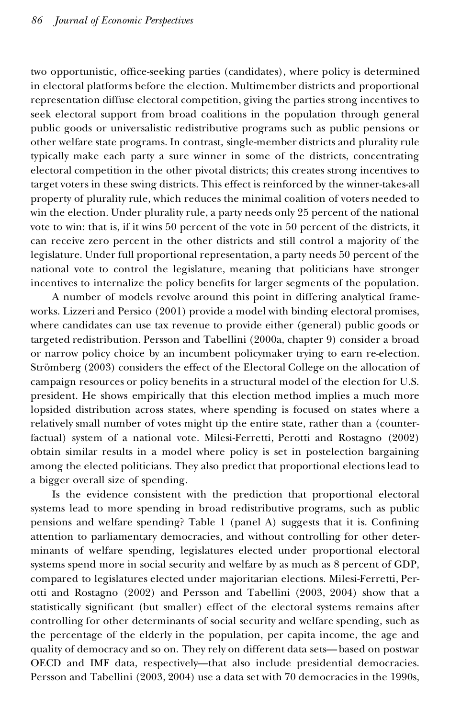two opportunistic, office-seeking parties (candidates), where policy is determined in electoral platforms before the election. Multimember districts and proportional representation diffuse electoral competition, giving the parties strong incentives to seek electoral support from broad coalitions in the population through general public goods or universalistic redistributive programs such as public pensions or other welfare state programs. In contrast, single-member districts and plurality rule typically make each party a sure winner in some of the districts, concentrating electoral competition in the other pivotal districts; this creates strong incentives to target voters in these swing districts. This effect is reinforced by the winner-takes-all property of plurality rule, which reduces the minimal coalition of voters needed to win the election. Under plurality rule, a party needs only 25 percent of the national vote to win: that is, if it wins 50 percent of the vote in 50 percent of the districts, it can receive zero percent in the other districts and still control a majority of the legislature. Under full proportional representation, a party needs 50 percent of the national vote to control the legislature, meaning that politicians have stronger incentives to internalize the policy benefits for larger segments of the population.

A number of models revolve around this point in differing analytical frameworks. Lizzeri and Persico (2001) provide a model with binding electoral promises, where candidates can use tax revenue to provide either (general) public goods or targeted redistribution. Persson and Tabellini (2000a, chapter 9) consider a broad or narrow policy choice by an incumbent policymaker trying to earn re-election. Strömberg (2003) considers the effect of the Electoral College on the allocation of campaign resources or policy benefits in a structural model of the election for U.S. president. He shows empirically that this election method implies a much more lopsided distribution across states, where spending is focused on states where a relatively small number of votes might tip the entire state, rather than a (counterfactual) system of a national vote. Milesi-Ferretti, Perotti and Rostagno (2002) obtain similar results in a model where policy is set in postelection bargaining among the elected politicians. They also predict that proportional elections lead to a bigger overall size of spending.

Is the evidence consistent with the prediction that proportional electoral systems lead to more spending in broad redistributive programs, such as public pensions and welfare spending? Table 1 (panel A) suggests that it is. Confining attention to parliamentary democracies, and without controlling for other determinants of welfare spending, legislatures elected under proportional electoral systems spend more in social security and welfare by as much as 8 percent of GDP, compared to legislatures elected under majoritarian elections. Milesi-Ferretti, Perotti and Rostagno (2002) and Persson and Tabellini (2003, 2004) show that a statistically significant (but smaller) effect of the electoral systems remains after controlling for other determinants of social security and welfare spending, such as the percentage of the elderly in the population, per capita income, the age and quality of democracy and so on. They rely on different data sets—based on postwar OECD and IMF data, respectively—that also include presidential democracies. Persson and Tabellini (2003, 2004) use a data set with 70 democracies in the 1990s,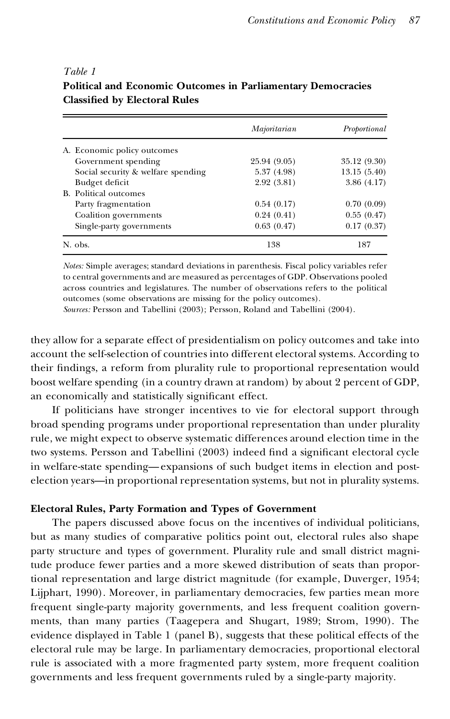#### *Table 1*

|                                    | Majoritarian | Proportional |
|------------------------------------|--------------|--------------|
| A. Economic policy outcomes        |              |              |
| Government spending                | 25.94 (9.05) | 35.12 (9.30) |
| Social security & welfare spending | 5.37(4.98)   | 13.15(5.40)  |
| Budget deficit                     | 2.92(3.81)   | 3.86(4.17)   |
| B. Political outcomes              |              |              |
| Party fragmentation                | 0.54(0.17)   | 0.70(0.09)   |
| Coalition governments              | 0.24(0.41)   | 0.55(0.47)   |
| Single-party governments           | 0.63(0.47)   | 0.17(0.37)   |
| N. obs.                            | 138          | 187          |

## **Political and Economic Outcomes in Parliamentary Democracies Classi ed by Electoral Rules**

*Notes:* Simple averages; standard deviations in parenthesis. Fiscal policy variables refer to central governments and are measured as percentages of GDP. Observations pooled across countries and legislatures. The number of observations refers to the political outcomes (some observations are missing for the policy outcomes).

*Sources:* Persson and Tabellini (2003); Persson, Roland and Tabellini (2004).

they allow for a separate effect of presidentialism on policy outcomes and take into account the self-selection of countries into different electoral systems. According to their findings, a reform from plurality rule to proportional representation would boost welfare spending (in a country drawn at random) by about 2 percent of GDP, an economically and statistically significant effect.

If politicians have stronger incentives to vie for electoral support through broad spending programs under proportional representation than under plurality rule, we might expect to observe systematic differences around election time in the two systems. Persson and Tabellini (2003) indeed find a significant electoral cycle in welfare-state spending—expansions of such budget items in election and postelection years—in proportional representation systems, but not in plurality systems.

#### **Electoral Rules, Party Formation and Types of Government**

The papers discussed above focus on the incentives of individual politicians, but as many studies of comparative politics point out, electoral rules also shape party structure and types of government. Plurality rule and small district magnitude produce fewer parties and a more skewed distribution of seats than proportional representation and large district magnitude (for example, Duverger, 1954; Lijphart, 1990). Moreover, in parliamentary democracies, few parties mean more frequent single-party majority governments, and less frequent coalition governments, than many parties (Taagepera and Shugart, 1989; Strom, 1990). The evidence displayed in Table 1 (panel B), suggests that these political effects of the electoral rule may be large. In parliamentary democracies, proportional electoral rule is associated with a more fragmented party system, more frequent coalition governments and less frequent governments ruled by a single-party majority.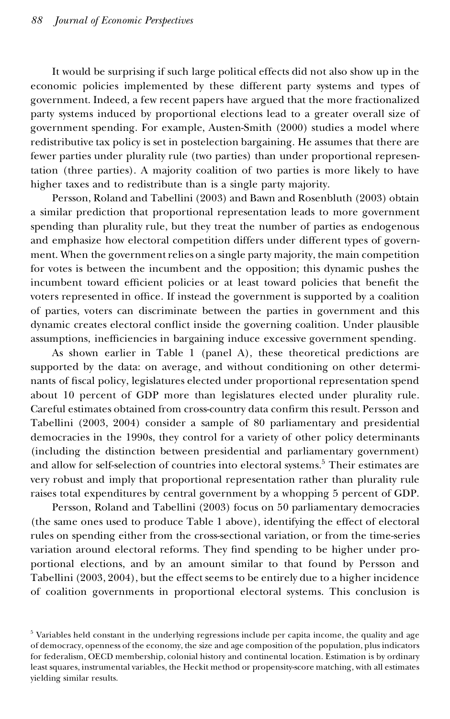It would be surprising if such large political effects did not also show up in the economic policies implemented by these different party systems and types of government. Indeed, a few recent papers have argued that the more fractionalized party systems induced by proportional elections lead to a greater overall size of government spending. For example, Austen-Smith (2000) studies a model where redistributive tax policy is set in postelection bargaining. He assumes that there are fewer parties under plurality rule (two parties) than under proportional representation (three parties). A majority coalition of two parties is more likely to have higher taxes and to redistribute than is a single party majority.

Persson, Roland and Tabellini (2003) and Bawn and Rosenbluth (2003) obtain a similar prediction that proportional representation leads to more government spending than plurality rule, but they treat the number of parties as endogenous and emphasize how electoral competition differs under different types of government. When the government relies on a single party majority, the main competition for votes is between the incumbent and the opposition; this dynamic pushes the incumbent toward efficient policies or at least toward policies that benefit the voters represented in office. If instead the government is supported by a coalition of parties, voters can discriminate between the parties in government and this dynamic creates electoral conflict inside the governing coalition. Under plausible assumptions, inefficiencies in bargaining induce excessive government spending.

As shown earlier in Table 1 (panel A), these theoretical predictions are supported by the data: on average, and without conditioning on other determinants of fiscal policy, legislatures elected under proportional representation spend about 10 percent of GDP more than legislatures elected under plurality rule. Careful estimates obtained from cross-country data confirm this result. Persson and Tabellini (2003, 2004) consider a sample of 80 parliamentary and presidential democracies in the 1990s, they control for a variety of other policy determinants (including the distinction between presidential and parliamentary government) and allow for self-selection of countries into electoral systems.<sup>5</sup> Their estimates are very robust and imply that proportional representation rather than plurality rule raises total expenditures by central government by a whopping 5 percent of GDP.

Persson, Roland and Tabellini (2003) focus on 50 parliamentary democracies (the same ones used to produce Table 1 above), identifying the effect of electoral rules on spending either from the cross-sectional variation, or from the time-series variation around electoral reforms. They find spending to be higher under proportional elections, and by an amount similar to that found by Persson and Tabellini (2003, 2004), but the effect seems to be entirely due to a higher incidence of coalition governments in proportional electoral systems. This conclusion is

 $5$  Variables held constant in the underlying regressions include per capita income, the quality and age of democracy, openness of the economy, the size and age composition of the population, plus indicators for federalism, OECD membership, colonial history and continental location. Estimation is by ordinary least squares, instrumental variables, the Heckit method or propensity-score matching, with all estimates yielding similar results.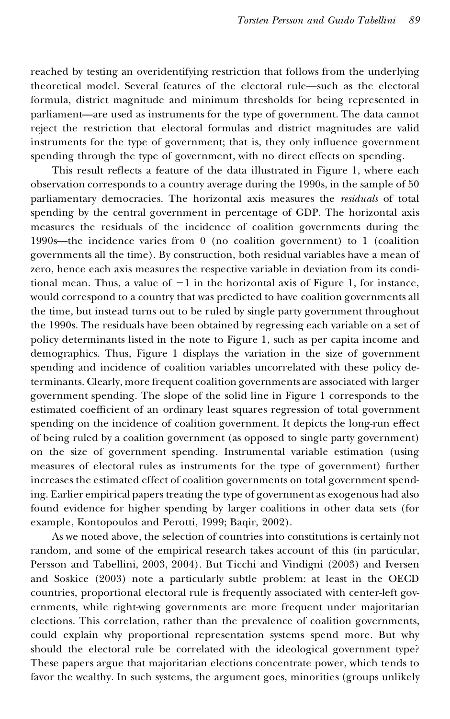reached by testing an overidentifying restriction that follows from the underlying theoretical model. Several features of the electoral rule—such as the electoral formula, district magnitude and minimum thresholds for being represented in parliament—are used as instruments for the type of government. The data cannot reject the restriction that electoral formulas and district magnitudes are valid instruments for the type of government; that is, they only influence government spending through the type of government, with no direct effects on spending.

This result reflects a feature of the data illustrated in Figure 1, where each observation corresponds to a country average during the 1990s, in the sample of 50 parliamentary democracies. The horizontal axis measures the *residuals* of total spending by the central government in percentage of GDP. The horizontal axis measures the residuals of the incidence of coalition governments during the 1990s—the incidence varies from 0(no coalition government) to 1 (coalition governments all the time). By construction, both residual variables have a mean of zero, hence each axis measures the respective variable in deviation from its conditional mean. Thus, a value of  $-1$  in the horizontal axis of Figure 1, for instance, would correspond to a country that was predicted to have coalition governments all the time, but instead turns out to be ruled by single party government throughout the 1990s. The residuals have been obtained by regressing each variable on a set of policy determinants listed in the note to Figure 1, such as per capita income and demographics. Thus, Figure 1 displays the variation in the size of government spending and incidence of coalition variables uncorrelated with these policy determinants. Clearly, more frequent coalition governments are associated with larger government spending. The slope of the solid line in Figure 1 corresponds to the estimated coefficient of an ordinary least squares regression of total government spending on the incidence of coalition government. It depicts the long-run effect of being ruled by a coalition government (as opposed to single party government) on the size of government spending. Instrumental variable estimation (using measures of electoral rules as instruments for the type of government) further increases the estimated effect of coalition governments on total government spending. Earlier empirical papers treating the type of government as exogenous had also found evidence for higher spending by larger coalitions in other data sets (for example, Kontopoulos and Perotti, 1999; Baqir, 2002).

As we noted above, the selection of countries into constitutions is certainly not random, and some of the empirical research takes account of this (in particular, Persson and Tabellini, 2003, 2004). But Ticchi and Vindigni (2003) and Iversen and Soskice (2003) note a particularly subtle problem: at least in the OECD countries, proportional electoral rule is frequently associated with center-left governments, while right-wing governments are more frequent under majoritarian elections. This correlation, rather than the prevalence of coalition governments, could explain why proportional representation systems spend more. But why should the electoral rule be correlated with the ideological government type? These papers argue that majoritarian elections concentrate power, which tends to favor the wealthy. In such systems, the argument goes, minorities (groups unlikely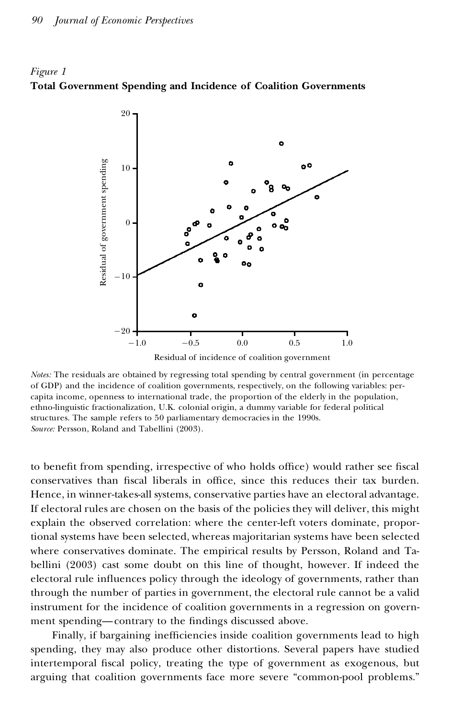



Residual of incidence of coalition government

to benefit from spending, irrespective of who holds office) would rather see fiscal conservatives than fiscal liberals in office, since this reduces their tax burden. Hence, in winner-takes-all systems, conservative parties have an electoral advantage. If electoral rules are chosen on the basis of the policies they will deliver, this might explain the observed correlation: where the center-left voters dominate, proportional systems have been selected, whereas majoritarian systems have been selected where conservatives dominate. The empirical results by Persson, Roland and Tabellini (2003) cast some doubt on this line of thought, however. If indeed the electoral rule influences policy through the ideology of governments, rather than through the number of parties in government, the electoral rule cannot be a valid instrument for the incidence of coalition governments in a regression on government spending—contrary to the findings discussed above.

Finally, if bargaining inefficiencies inside coalition governments lead to high spending, they may also produce other distortions. Several papers have studied intertemporal fiscal policy, treating the type of government as exogenous, but arguing that coalition governments face more severe "common-pool problems."

*Notes:* The residuals are obtained by regressing total spending by central government (in percentage of GDP) and the incidence of coalition governments, respectively, on the following variables: percapita income, openness to international trade, the proportion of the elderly in the population, ethno-linguistic fractionalization, U.K. colonial origin, a dummy variable for federal political structures. The sample refers to 50 parliamentary democracies in the 1990s. *Source:* Persson, Roland and Tabellini (2003).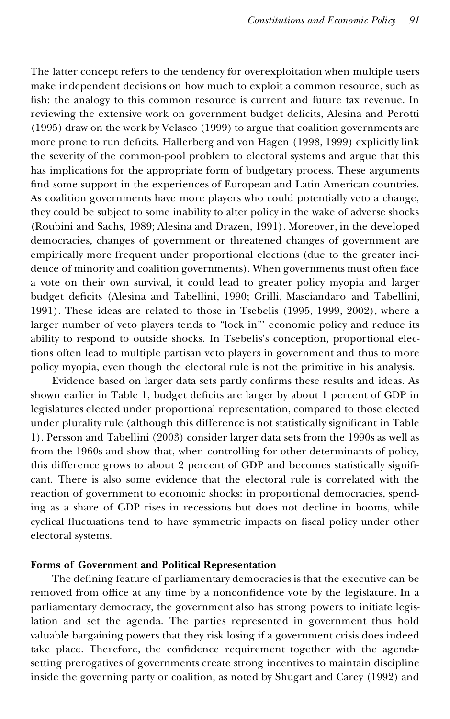The latter concept refers to the tendency for overexploitation when multiple users make independent decisions on how much to exploit a common resource, such as fish; the analogy to this common resource is current and future tax revenue. In reviewing the extensive work on government budget deficits, Alesina and Perotti (1995) draw on the work by Velasco (1999) to argue that coalition governments are more prone to run deficits. Hallerberg and von Hagen (1998, 1999) explicitly link the severity of the common-pool problem to electoral systems and argue that this has implications for the appropriate form of budgetary process. These arguments find some support in the experiences of European and Latin American countries. As coalition governments have more players who could potentially veto a change, they could be subject to some inability to alter policy in the wake of adverse shocks (Roubini and Sachs, 1989; Alesina and Drazen, 1991). Moreover, in the developed democracies, changes of government or threatened changes of government are empirically more frequent under proportional elections (due to the greater incidence of minority and coalition governments). When governments must often face a vote on their own survival, it could lead to greater policy myopia and larger budget deficits (Alesina and Tabellini, 1990; Grilli, Masciandaro and Tabellini, 1991). These ideas are related to those in Tsebelis (1995, 1999, 2002), where a larger number of veto players tends to "lock in"' economic policy and reduce its ability to respond to outside shocks. In Tsebelis's conception, proportional elections often lead to multiple partisan veto players in government and thus to more policy myopia, even though the electoral rule is not the primitive in his analysis.

Evidence based on larger data sets partly confirms these results and ideas. As shown earlier in Table 1, budget deficits are larger by about 1 percent of GDP in legislatures elected under proportional representation, compared to those elected under plurality rule (although this difference is not statistically significant in Table 1). Persson and Tabellini (2003) consider larger data sets from the 1990s as well as from the 1960s and show that, when controlling for other determinants of policy*,* this difference grows to about 2 percent of GDP and becomes statistically significant. There is also some evidence that the electoral rule is correlated with the reaction of government to economic shocks: in proportional democracies, spending as a share of GDP rises in recessions but does not decline in booms, while cyclical fluctuations tend to have symmetric impacts on fiscal policy under other electoral systems.

### **Forms of Government and Political Representation**

The defining feature of parliamentary democracies is that the executive can be removed from office at any time by a nonconfidence vote by the legislature. In a parliamentary democracy, the government also has strong powers to initiate legislation and set the agenda. The parties represented in government thus hold valuable bargaining powers that they risk losing if a government crisis does indeed take place. Therefore, the confidence requirement together with the agendasetting prerogatives of governments create strong incentives to maintain discipline inside the governing party or coalition, as noted by Shugart and Carey (1992) and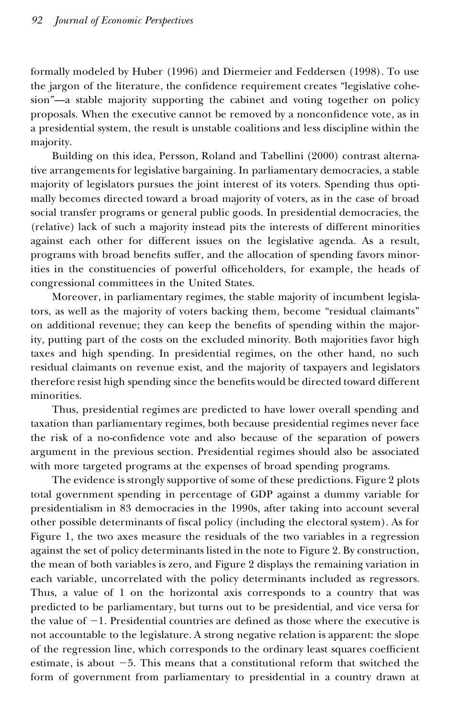formally modeled by Huber (1996) and Diermeier and Feddersen (1998). To use the jargon of the literature, the confidence requirement creates "legislative cohesion"—a stable majority supporting the cabinet and voting together on policy proposals. When the executive cannot be removed by a nonconfidence vote, as in a presidential system, the result is unstable coalitions and less discipline within the majority.

Building on this idea, Persson, Roland and Tabellini (2000) contrast alternative arrangements for legislative bargaining. In parliamentary democracies, a stable majority of legislators pursues the joint interest of its voters. Spending thus optimally becomes directed toward a broad majority of voters, as in the case of broad social transfer programs or general public goods. In presidential democracies, the (relative) lack of such a majority instead pits the interests of different minorities against each other for different issues on the legislative agenda. As a result, programs with broad benefits suffer, and the allocation of spending favors minorities in the constituencies of powerful officeholders, for example, the heads of congressional committees in the United States.

Moreover, in parliamentary regimes, the stable majority of incumbent legislators, as well as the majority of voters backing them, become "residual claimants" on additional revenue; they can keep the benefits of spending within the majority, putting part of the costs on the excluded minority. Both majorities favor high taxes and high spending. In presidential regimes, on the other hand, no such residual claimants on revenue exist, and the majority of taxpayers and legislators therefore resist high spending since the benefits would be directed toward different minorities.

Thus, presidential regimes are predicted to have lower overall spending and taxation than parliamentary regimes, both because presidential regimes never face the risk of a no-confidence vote and also because of the separation of powers argument in the previous section. Presidential regimes should also be associated with more targeted programs at the expenses of broad spending programs.

The evidence is strongly supportive of some of these predictions. Figure 2 plots total government spending in percentage of GDP against a dummy variable for presidentialism in 83 democracies in the 1990s, after taking into account several other possible determinants of fiscal policy (including the electoral system). As for Figure 1, the two axes measure the residuals of the two variables in a regression against the set of policy determinants listed in the note to Figure 2. By construction, the mean of both variables is zero, and Figure 2 displays the remaining variation in each variable, uncorrelated with the policy determinants included as regressors. Thus, a value of 1 on the horizontal axis corresponds to a country that was predicted to be parliamentary, but turns out to be presidential, and vice versa for the value of  $-1$ . Presidential countries are defined as those where the executive is not accountable to the legislature. A strong negative relation is apparent: the slope of the regression line, which corresponds to the ordinary least squares coefficient estimate, is about  $-5$ . This means that a constitutional reform that switched the form of government from parliamentary to presidential in a country drawn at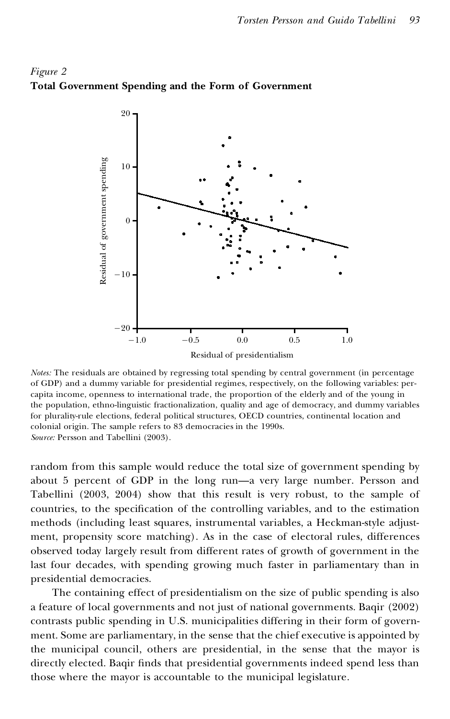



*Notes:* The residuals are obtained by regressing total spending by central government (in percentage of GDP) and a dummy variable for presidential regimes, respectively, on the following variables: percapita income, openness to international trade, the proportion of the elderly and of the young in the population, ethno-linguistic fractionalization, quality and age of democracy, and dummy variables for plurality-rule elections, federal political structures, OECD countries, continental location and colonial origin. The sample refers to 83 democracies in the 1990s. *Source:* Persson and Tabellini (2003).

random from this sample would reduce the total size of government spending by about 5 percent of GDP in the long run—a very large number. Persson and Tabellini (2003, 2004) show that this result is very robust, to the sample of countries, to the specification of the controlling variables, and to the estimation methods (including least squares, instrumental variables, a Heckman-style adjustment, propensity score matching). As in the case of electoral rules, differences observed today largely result from different rates of growth of government in the last four decades, with spending growing much faster in parliamentary than in presidential democracies.

The containing effect of presidentialism on the size of public spending is also a feature of local governments and not just of national governments. Baqir (2002) contrasts public spending in U.S. municipalities differing in their form of government. Some are parliamentary, in the sense that the chief executive is appointed by the municipal council, others are presidential, in the sense that the mayor is directly elected. Baqir finds that presidential governments indeed spend less than those where the mayor is accountable to the municipal legislature.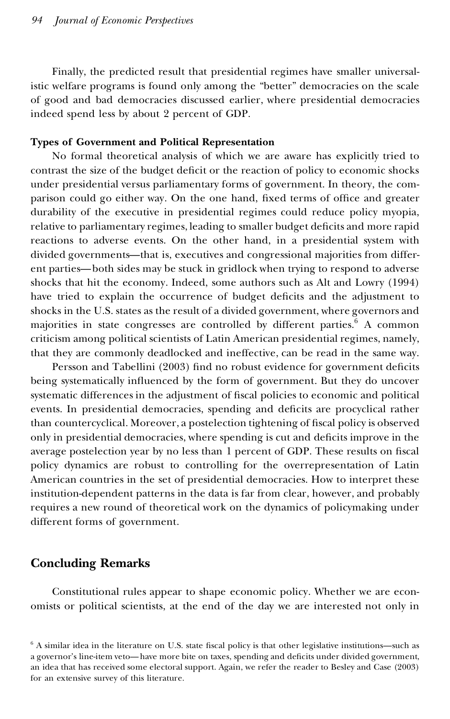Finally, the predicted result that presidential regimes have smaller universalistic welfare programs is found only among the "better" democracies on the scale of good and bad democracies discussed earlier, where presidential democracies indeed spend less by about 2 percent of GDP.

#### **Types of Government and Political Representation**

No formal theoretical analysis of which we are aware has explicitly tried to contrast the size of the budget deficit or the reaction of policy to economic shocks under presidential versus parliamentary forms of government. In theory, the com parison could go either way. On the one hand, fixed terms of office and greater durability of the executive in presidential regimes could reduce policy myopia, relative to parliamentary regimes, leading to smaller budget deficits and more rapid reactions to adverse events. On the other hand, in a presidential system with divided governments—that is, executives and congressional majorities from different parties—both sides may be stuck in gridlock when trying to respond to adverse shocks that hit the economy. Indeed, some authors such as Alt and Lowry (1994) have tried to explain the occurrence of budget deficits and the adjustment to shocks in the U.S. states as the result of a divided government, where governors and majorities in state congresses are controlled by different parties. $6$  A common criticism among political scientists of Latin American presidential regimes, namely, that they are commonly deadlocked and ineffective, can be read in the same way.

Persson and Tabellini (2003) find no robust evidence for government deficits being systematically influenced by the form of government. But they do uncover systematic differences in the adjustment of fiscal policies to economic and political events. In presidential democracies, spending and deficits are procyclical rather than countercyclical. Moreover, a postelection tightening of fiscal policy is observed only in presidential democracies, where spending is cut and deficits improve in the average postelection year by no less than 1 percent of GDP. These results on fiscal policy dynamics are robust to controlling for the overrepresentation of Latin American countries in the set of presidential democracies. How to interpret these institution-dependent patterns in the data is far from clear, however, and probably requires a new round of theoretical work on the dynamics of policymaking under different forms of government.

## **Concluding Remarks**

Constitutional rules appear to shape economic policy. Whether we are econ omists or political scientists, at the end of the day we are interested not only in

 $6$  A similar idea in the literature on U.S. state fiscal policy is that other legislative institutions—such as a governor's line-item veto—have more bite on taxes, spending and deficits under divided government, an idea that has received some electoral support. Again, we refer the reader to Besley and Case (2003) for an extensive survey of this literature.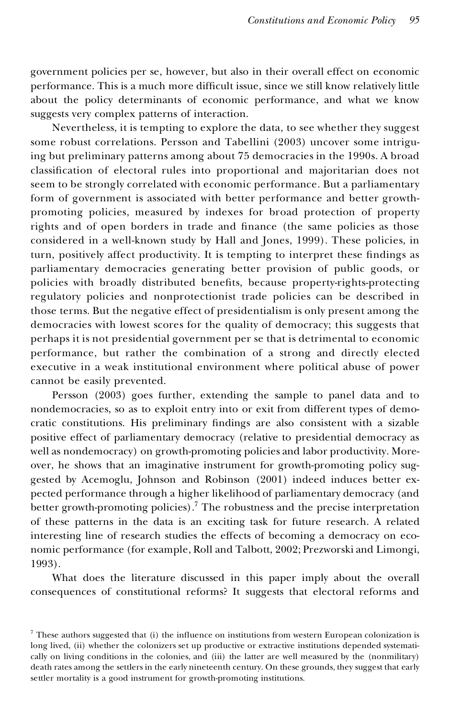government policies per se, however, but also in their overall effect on economic performance. This is a much more difficult issue, since we still know relatively little about the policy determinants of economic performance, and what we know suggests very complex patterns of interaction.

Nevertheless, it is tempting to explore the data, to see whether they suggest some robust correlations. Persson and Tabellini (2003) uncover some intriguing but preliminary patterns among about 75 democracies in the 1990s. A broad classification of electoral rules into proportional and majoritarian does not seem to be strongly correlated with economic performance. But a parliamentary form of government is associated with better performance and better growthpromoting policies, measured by indexes for broad protection of property rights and of open borders in trade and finance (the same policies as those considered in a well-known study by Hall and Jones, 1999). These policies, in turn, positively affect productivity. It is tempting to interpret these findings as parliamentary democracies generating better provision of public goods, or policies with broadly distributed benefits, because property-rights-protecting regulatory policies and nonprotectionist trade policies can be described in those terms. But the negative effect of presidentialism is only present among the democracies with lowest scores for the quality of democracy; this suggests that perhaps it is not presidential government per se that is detrimental to economic performance, but rather the combination of a strong and directly elected executive in a weak institutional environment where political abuse of power cannot be easily prevented.

Persson (2003) goes further, extending the sample to panel data and to nondemocracies, so as to exploit entry into or exit from different types of democratic constitutions. His preliminary findings are also consistent with a sizable positive effect of parliamentary democracy (relative to presidential democracy as well as nondemocracy) on growth-promoting policies and labor productivity. Moreover, he shows that an imaginative instrument for growth-promoting policy suggested by Acemoglu, Johnson and Robinson (2001) indeed induces better ex pected performance through a higher likelihood of parliamentary democracy (and better growth-promoting policies).<sup>7</sup> The robustness and the precise interpretation of these patterns in the data is an exciting task for future research. A related interesting line of research studies the effects of becoming a democracy on eco nomic performance (for example, Roll and Talbott, 2002; Prezworski and Limongi, 1993).

What does the literature discussed in this paper imply about the overall consequences of constitutional reforms? It suggests that electoral reforms and

 $<sup>7</sup>$  These authors suggested that (i) the influence on institutions from western European colonization is</sup> long lived, (ii) whether the colonizers set up productive or extractive institutions depended systematically on living conditions in the colonies, and (iii) the latter are well measured by the (nonmilitary) death rates among the settlers in the early nineteenth century. On these grounds, they suggest that early settler mortality is a good instrument for growth-promoting institutions.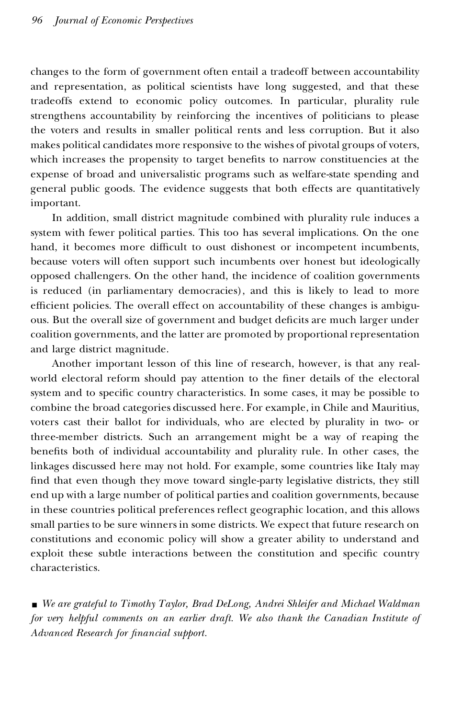changes to the form of government often entail a tradeoff between accountability and representation, as political scientists have long suggested, and that these tradeoffs extend to economic policy outcomes. In particular, plurality rule strengthens accountability by reinforcing the incentives of politicians to please the voters and results in smaller political rents and less corruption. But it also makes political candidates more responsive to the wishes of pivotal groups of voters, which increases the propensity to target benefits to narrow constituencies at the expense of broad and universalistic programs such as welfare-state spending and general public goods. The evidence suggests that both effects are quantitatively important.

In addition, small district magnitude combined with plurality rule induces a system with fewer political parties. This too has several implications. On the one hand, it becomes more difficult to oust dishonest or incompetent incumbents, because voters will often support such incumbents over honest but ideologically opposed challengers. On the other hand, the incidence of coalition governments is reduced (in parliamentary democracies), and this is likely to lead to more efficient policies. The overall effect on accountability of these changes is ambiguous. But the overall size of government and budget deficits are much larger under coalition governments, and the latter are promoted by proportional representation and large district magnitude.

Another important lesson of this line of research, however, is that any realworld electoral reform should pay attention to the finer details of the electoral system and to specific country characteristics. In some cases, it may be possible to combine the broad categories discussed here. For example, in Chile and Mauritius, voters cast their ballot for individuals, who are elected by plurality in two- or three-member districts. Such an arrangement might be a way of reaping the benefits both of individual accountability and plurality rule. In other cases, the linkages discussed here may not hold. For example, some countries like Italy may find that even though they move toward single-party legislative districts, they still end up with a large number of political parties and coalition governments, because in these countries political preferences reflect geographic location, and this allows small parties to be sure winners in some districts. We expect that future research on constitutions and economic policy will show a greater ability to understand and exploit these subtle interactions between the constitution and specific country characteristics.

y *We are grateful to Timothy Taylor, Brad DeLong, Andrei Shleifer and Michael Waldman for very helpful comments on an earlier draft. We also thank the Canadian Institute of Advanced Research for nancial support.*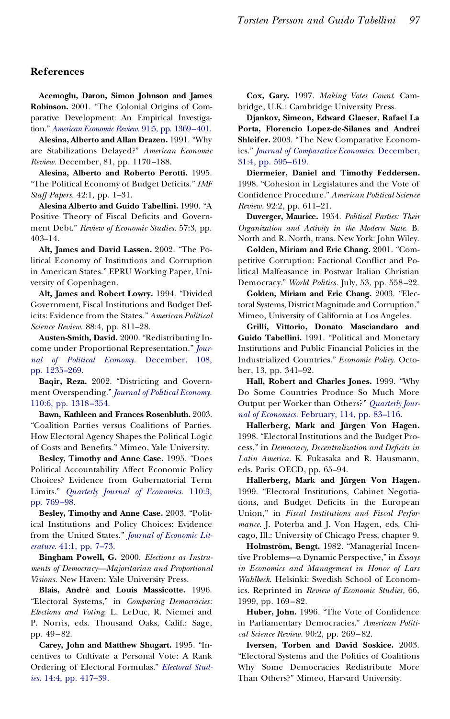#### **References**

**Acemoglu, Daron, Simon Johnson and James Robinson.** 2001. "The Colonial Origins of Comparative Development: An Empirical Investigation." *American Economic Review.* 91:5, pp. [1369–401.](http://www.ingentaselect.com/rpsv/cgi-bin/linker?ext=a&reqidx=/0002-8282^28^2991:5L.1369[aid=2751740])

**Alesina, Alberto and Allan Drazen.** 1991. "Why are Stabilizations Delayed?" *American Economic Review.* December, 81, pp. 1170 –188.

**Alesina, Alberto and Roberto Perotti.** 1995. "The Political Economy of Budget Deficits." *IMF Staff Papers.* 42:1, pp. 1–31.

**Alesina Alberto and Guido Tabellini.** 1990. "A Positive Theory of Fiscal Deficits and Government Debt." *Review of Economic Studies.* 57:3, pp. 403–14.

**Alt, James and David Lassen.** 2002. "The Political Economy of Institutions and Corruption in American States." EPRU Working Paper, University of Copenhagen.

**Alt, James and Robert Lowry.** 1994. "Divided Government, Fiscal Institutions and Budget Deficits: Evidence from the States." *American Political Science Review.* 88:4, pp. 811–28.

**Austen-Smith, David.** 2000. "Redistributing In come under Proportional Representation." *[Jour](http://www.ingentaselect.com/rpsv/cgi-bin/linker?ext=a&reqidx=/0022-3808^28^29108L.1235[aid=5676787])nal of Political Economy.* [December,](http://www.ingentaselect.com/rpsv/cgi-bin/linker?ext=a&reqidx=/0022-3808^28^29108L.1235[aid=5676787]) 108, pp. [1235–269.](http://www.ingentaselect.com/rpsv/cgi-bin/linker?ext=a&reqidx=/0022-3808^28^29108L.1235[aid=5676787])

**Baqir, Reza.** 2002. "Districting and Govern ment Overspending." *Journal of Political [Economy.](http://www.ingentaselect.com/rpsv/cgi-bin/linker?ext=a&reqidx=/0022-3808^28^29110:6L.1318[aid=5676788])* 110:6, pp. [1318–354.](http://www.ingentaselect.com/rpsv/cgi-bin/linker?ext=a&reqidx=/0022-3808^28^29110:6L.1318[aid=5676788])

**Bawn, Kathleen and Frances Rosenbluth.** 2003. "Coalition Parties versus Coalitions of Parties. How Electoral Agency Shapes the Political Logic of Costs and Benefits." Mimeo, Yale University.

**Besley, Timothy and Anne Case.** 1995. "Does Political Accountability Affect Economic Policy Choices? Evidence from Gubernatorial Term Limits." *Quarterly Journal of [Economics.](http://www.ingentaselect.com/rpsv/cgi-bin/linker?ext=a&reqidx=/0033-5533^28^29110:3L.769[aid=4805786])* 110:3, pp. [769–98.](http://www.ingentaselect.com/rpsv/cgi-bin/linker?ext=a&reqidx=/0033-5533^28^29110:3L.769[aid=4805786])

**Besley, Timothy and Anne Case.** 2003. "Political Institutions and Policy Choices: Evidence from the United States." *Journal of [Economic](http://www.ingentaselect.com/rpsv/cgi-bin/linker?ext=a&reqidx=/0022-0515^28^2941:1L.7[aid=5676789]) Lit[erature.](http://www.ingentaselect.com/rpsv/cgi-bin/linker?ext=a&reqidx=/0022-0515^28^2941:1L.7[aid=5676789])* 41:1, pp. 7–73.

**Bingham Powell, G.** 2000. *Elections as Instruments of Democracy—Majoritarian and Proportional Visions.* New Haven: Yale University Press.

**Blais, Andre´ and Louis Massicotte.** 1996. "Electoral Systems," in *Comparing Democracies: Elections and Voting*. L. LeDuc, R. Niemei and P. Norris, eds. Thousand Oaks, Calif.: Sage, pp. 49– 82.

**Carey, John and Matthew Shugart.** 1995. "Incentives to Cultivate a Personal Vote: A Rank Ordering of Electoral Formulas." *[Electoral](http://www.ingentaselect.com/rpsv/cgi-bin/linker?ext=a&reqidx=/0261-3794^28^2914:4L.417[aid=5676790]) Studies.* 14:4, pp. [417–39.](http://www.ingentaselect.com/rpsv/cgi-bin/linker?ext=a&reqidx=/0261-3794^28^2914:4L.417[aid=5676790])

**Cox, Gary.** 1997. *Making Votes Count*. Cambridge, U.K.: Cambridge University Press.

**Djankov, Simeon, Edward Glaeser, Rafael La Porta, Florencio Lopez-de-Silanes and Andrei Shleifer.** 2003. "The New Comparative Economics." *Journal of [Comparative](http://www.ingentaselect.com/rpsv/cgi-bin/linker?ext=a&reqidx=/0147-5967^28^2931:4L.595[aid=5676791]) Economics*. December, 31:4, pp. [595–619.](http://www.ingentaselect.com/rpsv/cgi-bin/linker?ext=a&reqidx=/0147-5967^28^2931:4L.595[aid=5676791])

**Diermeier, Daniel and Timothy Feddersen.** 1998. "Cohesion in Legislatures and the Vote of Con dence Procedure." *American Political Science Review.* 92:2, pp. 611–21.

**Duverger, Maurice.** 1954. *Political Parties: Their Organization and Activity in the Modern State*. B. North and R. North, trans. New York: John Wiley.

**Golden, Miriam and Eric Chang.** 2001. "Competitive Corruption: Factional Conflict and Political Malfeasance in Postwar Italian Christian Democracy." *World Politics.* July, 53, pp. 558–22.

**Golden, Miriam and Eric Chang.** 2003. "Electoral Systems, District Magnitude and Corruption." Mimeo, University of California at Los Angeles.

**Grilli, Vittorio, Donato Masciandaro and Guido Tabellini.** 1991. "Political and Monetary Institutions and Public Financial Policies in the Industrialized Countries." *Economic Policy*. October, 13, pp. 341–92.

**Hall, Robert and Charles Jones.** 1999. "Why Do Some Countries Produce So Much More Output per Worker than Others?" *[Quarterly](http://www.ingentaselect.com/rpsv/cgi-bin/linker?ext=a&reqidx=/0033-5533^28^29114L.83[aid=1539115]) Journal of [Economics.](http://www.ingentaselect.com/rpsv/cgi-bin/linker?ext=a&reqidx=/0033-5533^28^29114L.83[aid=1539115])* February, 114, pp. 83–116.

**Hallerberg, Mark and Ju¨rgen Von Hagen.** 1998. "Electoral Institutions and the Budget Process," in *Democracy, Decentralization and Decits in Latin America.* K. Fukasaka and R. Hausmann, eds. Paris: OECD, pp. 65–94.

**Hallerberg, Mark and Ju¨rgen Von Hagen.** 1999. "Electoral Institutions, Cabinet Negotiations, and Budget Deficits in the European Union," in *Fiscal Institutions and Fiscal Perfor mance*. J. Poterba and J.Von Hagen, eds. Chicago, Ill.: University of Chicago Press, chapter 9.

Holmström, Bengt. 1982. "Managerial Incentive Problems—a Dynamic Perspective," in *Essays in Economics and Management in Honor of Lars Wahlbeck*. Helsinki: Swedish School of Economics. Reprinted in *Review of Economic Studies*, 66, 1999, pp. 169– 82.

Huber, John. 1996. "The Vote of Confidence in Parliamentary Democracies." *American Political Science Review.* 90:2, pp. 269– 82.

**Iversen, Torben and David Soskice.** 2003. "Electoral Systems and the Politics of Coalitions Why Some Democracies Redistribute More Than Others?" Mimeo, Harvard University.